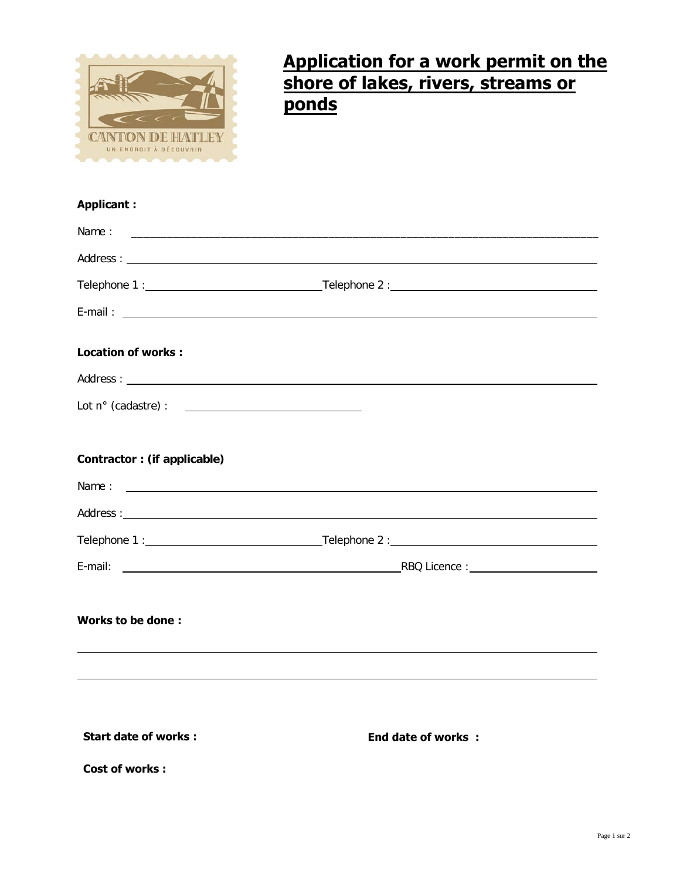

## **Application for a work permit on the shore of lakes, rivers, streams or ponds**

## **Applicant :**

| Name:                               |                                                                       |
|-------------------------------------|-----------------------------------------------------------------------|
|                                     |                                                                       |
|                                     |                                                                       |
|                                     |                                                                       |
| <b>Location of works:</b>           |                                                                       |
|                                     |                                                                       |
| Lot n° (cadastre) : $\qquad \qquad$ |                                                                       |
|                                     |                                                                       |
| <b>Contractor: (if applicable)</b>  |                                                                       |
| Name:                               |                                                                       |
|                                     |                                                                       |
|                                     |                                                                       |
| E-mail:                             | $R$ BQ Licence : $\qquad \qquad \qquad$ RBQ Licence : $\qquad \qquad$ |
|                                     |                                                                       |
| Works to be done:                   |                                                                       |
|                                     |                                                                       |
|                                     |                                                                       |
|                                     |                                                                       |
| <b>Start date of works:</b>         |                                                                       |
|                                     | <b>End date of works:</b>                                             |
| <b>Cost of works:</b>               |                                                                       |